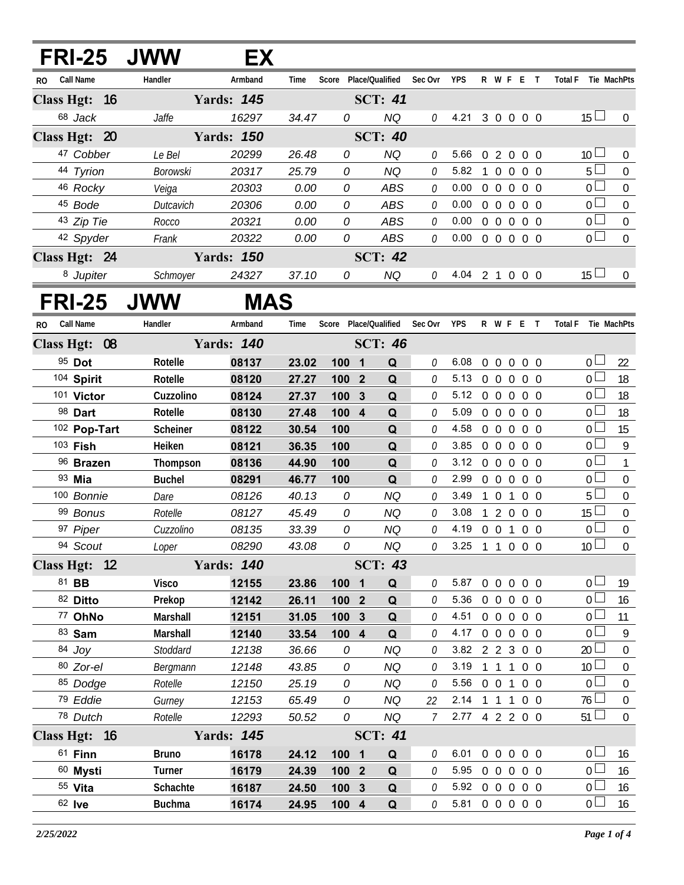| FRI-25 JWW           |                   | EX.               |                |                  |                              |                      |                                  |              |                   |                |            |                                   |                                 |
|----------------------|-------------------|-------------------|----------------|------------------|------------------------------|----------------------|----------------------------------|--------------|-------------------|----------------|------------|-----------------------------------|---------------------------------|
| Call Name<br>RO.     | Handler           | Armband           | Time           |                  | Score Place/Qualified        | Sec Ovr              | <b>YPS</b>                       |              | R W F E T         |                |            | Total F Tie MachPts               |                                 |
| Class Hgt: 16        |                   | <b>Yards: 145</b> |                |                  | <b>SCT: 41</b>               |                      |                                  |              |                   |                |            |                                   |                                 |
| 68 Jack              | Jaffe             | 16297             | 34.47          | 0                | <b>NQ</b>                    | 0                    | 4.21                             |              | 3 0 0 0 0         |                |            | $15 \Box$                         | 0                               |
| Class Hgt: 20        |                   | <b>Yards: 150</b> |                |                  | <b>SCT: 40</b>               |                      |                                  |              |                   |                |            |                                   |                                 |
| 47 Cobber            | Le Bel            | 20299             | 26.48          | 0                | <b>NQ</b>                    | 0                    | 5.66                             |              | 02000             |                |            | 10 <sup>1</sup>                   | $\overline{0}$                  |
| 44 Tyrion            | <b>Borowski</b>   | 20317             | 25.79          | 0                | <b>NQ</b>                    | 0                    | 5.82                             | $\mathbf{1}$ | $\overline{0}$    | $\overline{0}$ | $0\quad 0$ | $5\Box$                           | $\mathbf 0$                     |
| 46 Rocky             | Veiga             | 20303             | 0.00           | 0                | <b>ABS</b>                   | 0                    | 0.00                             |              | $0\quad 0$        | $\overline{0}$ | $0\quad 0$ | 0 <sub>0</sub>                    | $\boldsymbol{0}$                |
| 45 Bode              | Dutcavich         | 20306             | 0.00           | 0                | <b>ABS</b>                   | 0                    | 0.00                             |              | $0\quad 0\quad 0$ |                | $0\quad 0$ | $\overline{0}$                    | $\mathbf 0$                     |
| 43 Zip Tie           | Rocco             | 20321             | 0.00           | 0                | <b>ABS</b>                   | 0                    | 0.00                             |              | $0\quad 0$        | $\overline{0}$ | $0\quad 0$ | $\overline{0}$                    | $\boldsymbol{0}$                |
| 42 Spyder            | Frank             | 20322             | 0.00           | 0                | ABS                          | 0                    | 0.00                             |              | 0 0 0 0 0         |                |            | $\overline{0}$                    | $\mathbf 0$                     |
| Class Hgt: 24        |                   | <b>Yards: 150</b> |                |                  | <b>SCT: 42</b>               |                      |                                  |              |                   |                |            |                                   |                                 |
| 8 Jupiter            | Schmoyer          | 24327             | 37.10          | 0                | NQ                           | $\theta$             | 4.04 2 1 0 0 0                   |              |                   |                |            | 15 <sup>1</sup>                   | $\overline{0}$                  |
| <b>FRI-25 JWW</b>    |                   | <b>MAS</b>        |                |                  |                              |                      |                                  |              |                   |                |            |                                   |                                 |
| Call Name<br>RO.     | Handler           | Armband           | Time           |                  | Score Place/Qualified        | Sec Ovr              | <b>YPS</b>                       |              | R W F E T         |                |            | <b>Total F</b><br>Tie MachPts     |                                 |
| Class Hgt: 08        |                   | <b>Yards: 140</b> |                |                  | <b>SCT: 46</b>               |                      |                                  |              |                   |                |            |                                   |                                 |
| 95 Dot               | Rotelle           | 08137             | 23.02          | 100              | $\overline{\mathbf{1}}$<br>Q | 0                    | 6.08                             |              | 0 0 0 0 0         |                |            | 0 <sub>1</sub>                    | 22                              |
| 104 Spirit           | Rotelle           | 08120             | 27.27          | 100 2            | Q                            | 0                    | 5.13                             |              | 0 0 0 0 0         |                |            | $\overline{0}$                    | 18                              |
| 101 Victor           | Cuzzolino         | 08124             | 27.37          | 100              | 3<br>Q                       | 0                    | 5.12                             |              | 0 0 0 0 0         |                |            | $0 -$                             | 18                              |
| 98 Dart              | Rotelle           | 08130             | 27.48          | 100 4            | Q                            | 0                    | 5.09                             |              | 0 0 0 0 0         |                |            | 0 <sub>0</sub>                    | 18                              |
| 102 Pop-Tart         | Scheiner          | 08122             | 30.54          | 100              | Q                            | 0                    | 4.58                             |              | $0\quad 0$        | $\overline{0}$ | $0\quad 0$ | 0 <sub>0</sub>                    | 15                              |
| 103 Fish             | Heiken            | 08121             | 36.35          | 100              | Q                            | 0                    | 3.85                             |              | $0\quad 0\quad 0$ |                | $0\quad 0$ | $\overline{0}$                    | $\overline{9}$                  |
| 96 Brazen            | Thompson          | 08136             | 44.90          | 100              | Q                            | 0                    | 3.12                             |              | $0\quad 0\quad 0$ |                | $0\quad 0$ | 0 <sub>0</sub>                    | $\mathbf{1}$                    |
| 93 Mia               | <b>Buchel</b>     | 08291             | 46.77          | 100              | Q                            | 0                    | 2.99                             |              | $0\quad 0\quad 0$ |                | $0\quad 0$ | $\overline{0}$                    | $\mathbf 0$                     |
| 100 Bonnie           | Dare              | 08126             | 40.13          | 0                | <b>NQ</b>                    | 0                    | 3.49                             |              | 101               |                | $0\quad 0$ | 5 <sub>1</sub>                    | $\mathbf 0$                     |
| 99 Bonus             | Rotelle           | 08127             | 45.49          | 0                | <b>NQ</b>                    | 0                    | 3.08                             |              | 120               |                | $0\quad 0$ | $15 \Box$                         | $\boldsymbol{0}$                |
| 97 Piper             | Cuzzolino         | 08135             | 33.39          | 0                | <b>NQ</b>                    | 0                    | 4.19 0 0 1                       |              |                   |                | $0\quad 0$ | 0 <sub>1</sub>                    | $\mathbf 0$                     |
| 94 Scout             | Loper             | 08290             | 43.08          | 0                | NQ                           | 0                    | 3.25 1 1 0 0 0                   |              |                   |                |            | 10 <sup>1</sup>                   | $\overline{0}$                  |
| Class Hgt: 12        |                   | <b>Yards: 140</b> |                |                  | <b>SCT: 43</b>               |                      |                                  |              |                   |                |            |                                   |                                 |
| 81 BB                | <b>Visco</b>      | 12155             | 23.86          | 100 1            | Q                            | 0                    | 5.87                             |              | 0 0 0 0 0         |                |            | 0 <sub>1</sub>                    | 19                              |
| 82 Ditto             | Prekop            | 12142             | 26.11          | 100 2            | Q                            | 0                    | 5.36 0 0 0 0 0                   |              |                   |                |            | 0 <sub>0</sub>                    | 16                              |
| 77 OhNo              | Marshall          | 12151             | 31.05          | 100 <sub>3</sub> | Q                            | 0                    | 4.51                             |              | 0 0 0 0 0         |                |            | 0 <sub>0</sub>                    | 11                              |
| 83 Sam               | Marshall          | 12140             | 33.54          | $100$ 4          | Q                            | 0                    | 4.17 0 0 0 0 0                   |              |                   |                |            | 0 <sup>1</sup>                    | 9                               |
| 84 Joy               | Stoddard          | 12138             | 36.66          | 0                | <b>NQ</b>                    | 0                    | 3.82 2 2 3 0 0                   |              |                   |                |            | 20 <sup>2</sup>                   | $\boldsymbol{0}$                |
| 80 Zor-el            | Bergmann          | 12148             | 43.85          | 0                | <b>NQ</b>                    | 0                    | 3.19 1 1 1 0 0                   |              |                   |                |            | 10 <sup>1</sup><br>0 <sub>0</sub> | $\boldsymbol{0}$                |
| 85 Dodge             | Rotelle           | 12150             | 25.19          | 0<br>0           | <b>NQ</b>                    | 0                    | 5.56 0 0 1 0 0<br>2.14 1 1 1 0 0 |              |                   |                |            | $76 \Box$                         | 0                               |
| 79 Eddie<br>78 Dutch | Gurney<br>Rotelle | 12153<br>12293    | 65.49<br>50.52 | 0                | <b>NQ</b><br><b>NQ</b>       | 22<br>$\overline{7}$ | 2.77 4 2 2 0 0                   |              |                   |                |            | $51 \Box$                         | $\boldsymbol{0}$<br>$\mathbf 0$ |
| Class Hgt: 16        |                   | <b>Yards: 145</b> |                |                  | <b>SCT: 41</b>               |                      |                                  |              |                   |                |            |                                   |                                 |
| $61$ Finn            | <b>Bruno</b>      | 16178             | 24.12          | 100 1            | Q                            | 0                    | 6.01                             |              | 0 0 0 0 0         |                |            | $0 -$                             | 16                              |
| 60 Mysti             | <b>Turner</b>     | 16179             | 24.39          | 100 <sub>2</sub> | Q                            | 0                    | 5.95                             |              | 0 0 0 0 0         |                |            | 0 <sub>0</sub>                    | 16                              |
| 55 Vita              | Schachte          | 16187             | 24.50          | 100 <sub>3</sub> | Q                            | 0                    | 5.92 0 0 0 0 0                   |              |                   |                |            | 0 <sub>0</sub>                    | 16                              |
| 62 <b>Ive</b>        | <b>Buchma</b>     | 16174             | 24.95          | 100 4            | Q                            | 0                    | 5.81 0 0 0 0 0                   |              |                   |                |            | 0 <sub>1</sub>                    | 16                              |
|                      |                   |                   |                |                  |                              |                      |                                  |              |                   |                |            |                                   |                                 |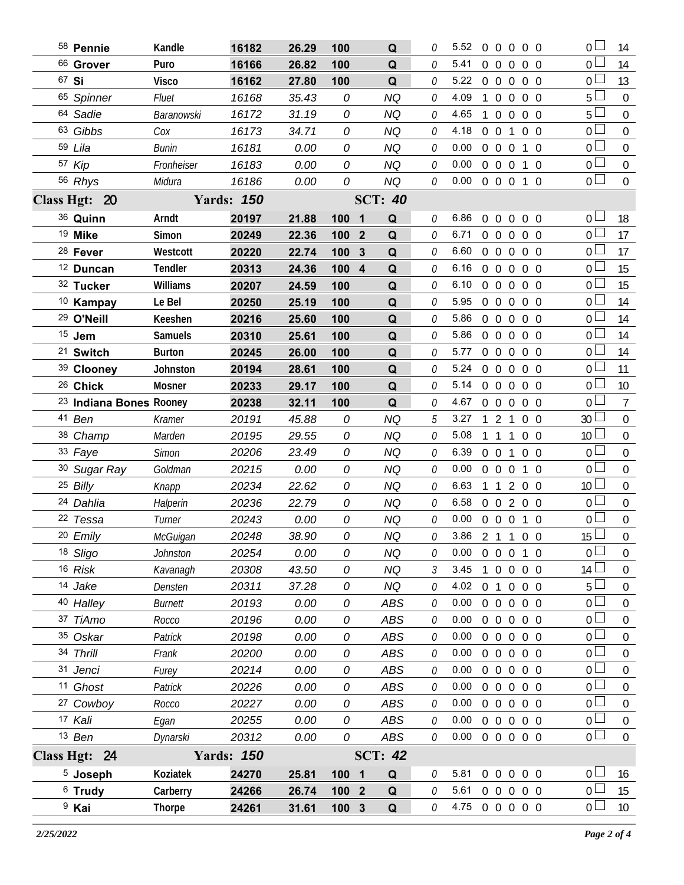| 58 Pennie                          | Kandle         | 16182             | 26.29 | 100   | Q                            | 0 | 5.52           |                | 00000             |                   |            | 0 <sub>0</sub>  | 14               |
|------------------------------------|----------------|-------------------|-------|-------|------------------------------|---|----------------|----------------|-------------------|-------------------|------------|-----------------|------------------|
| 66 Grover                          | Puro           | 16166             | 26.82 | 100   | Q                            | 0 | 5.41           | $0\quad 0$     | $\overline{0}$    |                   | $0\quad 0$ | $0-$            | 14               |
| 67 Si                              | <b>Visco</b>   | 16162             | 27.80 | 100   | Q                            | 0 | 5.22           |                | 00000             |                   |            | 0 L             | 13               |
| 65 Spinner                         | Fluet          | 16168             | 35.43 | 0     | <b>NQ</b>                    | 0 | 4.09           |                | 1 0 0             |                   | $0\quad 0$ | $5+$            | $\overline{0}$   |
| 64 Sadie                           | Baranowski     | 16172             | 31.19 | 0     | <b>NQ</b>                    | 0 | 4.65           | $1\quad0$      |                   | $0\quad 0\quad 0$ |            | $5^{\perp}$     | $\boldsymbol{0}$ |
| 63 Gibbs                           | Cox            | 16173             | 34.71 | 0     | <b>NQ</b>                    | 0 | 4.18           |                | $0 \t 0 \t 1$     |                   | $0\quad 0$ | 0 <sup>1</sup>  | $\mathbf{0}$     |
| 59 Lila                            | Bunin          | 16181             | 0.00  | 0     | <b>NQ</b>                    | 0 | 0.00           |                | $0\quad 0\quad 0$ |                   | $1\quad 0$ | 0 <sub>0</sub>  | $\overline{0}$   |
| 57 Kip                             | Fronheiser     | 16183             | 0.00  | 0     | <b>NQ</b>                    | 0 | 0.00           |                | 0 0 0 1 0         |                   |            | 0 <sub>1</sub>  | $\mathbf 0$      |
| 56 Rhys                            | Midura         | 16186             | 0.00  | 0     | <b>NQ</b>                    | 0 | 0.00           |                | 0 0 0 1 0         |                   |            | $\overline{0}$  | $\mathbf 0$      |
| Class Hgt: 20                      |                | <b>Yards: 150</b> |       |       | <b>SCT: 40</b>               |   |                |                |                   |                   |            |                 |                  |
| 36 Quinn                           | Arndt          | 20197             | 21.88 | 1001  | Q                            | 0 | 6.86           | $0\quad 0$     | $\overline{0}$    |                   | $0\quad 0$ | 0 <sub>0</sub>  | 18               |
| <sup>19</sup> Mike                 | Simon          | 20249             | 22.36 | 100 2 | Q                            | 0 | 6.71           | 0 <sub>0</sub> |                   | $\overline{0}$    | $0\quad 0$ | 0 <sup>1</sup>  | 17               |
| 28 Fever                           | Westcott       | 20220             | 22.74 | 100   | $\mathbf{3}$<br>Q            | 0 | 6.60           |                | 0 0 0 0 0         |                   |            | 0 <sup>1</sup>  | 17               |
| <sup>12</sup> Duncan               | Tendler        | 20313             | 24.36 | 100   | $\overline{\mathbf{4}}$<br>Q | 0 | 6.16           | $0\quad 0$     | $\overline{0}$    |                   | $0\quad 0$ | 0 <sub>0</sub>  | 15               |
| 32 Tucker                          | Williams       | 20207             | 24.59 | 100   | Q                            | 0 | 6.10           |                | $0\quad 0\quad 0$ |                   | $0\quad 0$ | 0 <sub>0</sub>  | 15               |
| <sup>10</sup> Kampay               | Le Bel         | 20250             | 25.19 | 100   | Q                            | 0 | 5.95           | 0 <sub>0</sub> | $\overline{0}$    |                   | $0\quad 0$ | 0 L             | 14               |
| <sup>29</sup> O'Neill              | Keeshen        | 20216             | 25.60 | 100   | Q                            | 0 | 5.86           |                | 00000             |                   |            | 0 <sub>0</sub>  | 14               |
| $15$ Jem                           | <b>Samuels</b> | 20310             | 25.61 | 100   | Q                            | 0 | 5.86           | $0\quad 0$     |                   | $\Omega$          | $0\quad 0$ | 0 L             | 14               |
| <sup>21</sup> Switch               | <b>Burton</b>  | 20245             | 26.00 | 100   | $\mathbf Q$                  | 0 | 5.77           |                | 00000             |                   |            | 0 <sub>0</sub>  | 14               |
| 39 Clooney                         | Johnston       | 20194             | 28.61 | 100   | Q                            | 0 | 5.24           | $0\quad 0$     |                   | $0\quad 0\quad 0$ |            | 0 <sup>L</sup>  | 11               |
| <sup>26</sup> Chick                | Mosner         | 20233             | 29.17 | 100   | Q                            | 0 | 5.14           |                | 00000             |                   |            | 0 <sub>0</sub>  | 10               |
| <sup>23</sup> Indiana Bones Rooney |                | 20238             | 32.11 | 100   | Q                            | 0 | 4.67           |                | 00000             |                   |            | 0 <sub>1</sub>  | $7\overline{ }$  |
| 41 Ben                             | Kramer         | 20191             | 45.88 | 0     | <b>NQ</b>                    | 5 | 3.27           |                | 121               |                   | $0\quad 0$ | 30 <sup>2</sup> | $\overline{0}$   |
| 38 Champ                           | Marden         | 20195             | 29.55 | 0     | <b>NQ</b>                    | 0 | 5.08           |                | 111               |                   | $0\quad 0$ | 10 <sup>L</sup> | $\overline{0}$   |
| 33 Faye                            | Simon          | 20206             | 23.49 | 0     | <b>NQ</b>                    | 0 | 6.39           |                | $0 \t0 \t1$       |                   | $0\quad 0$ | 0 <sup>1</sup>  | $\boldsymbol{0}$ |
| 30 Sugar Ray                       | Goldman        | 20215             | 0.00  | 0     | NQ                           | 0 | 0.00           |                | $0\quad 0\quad 0$ |                   | 1 0        | 0 <sub>1</sub>  | $\mathbf 0$      |
| 25 Billy                           | Knapp          | 20234             | 22.62 | 0     | <b>NQ</b>                    | 0 | 6.63           | $1\quad1$      |                   | 200               |            | 10 <sup>1</sup> | $\boldsymbol{0}$ |
| 24 Dahlia                          | Halperin       | 20236             | 22.79 | 0     | NQ                           | 0 | 6.58           |                | 0 0 2 0 0         |                   |            | 0 <sub>0</sub>  | $\overline{0}$   |
| 22 Tessa                           | Turner         | 20243             | 0.00  | 0     | <b>NQ</b>                    | 0 | 0.00           |                | 0 0 0 1 0         |                   |            | 0 <sub>0</sub>  | $\boldsymbol{0}$ |
| 20 Emily                           | McGuigan       | 20248             | 38.90 | 0     | NQ                           | 0 | 3.86 2 1 1 0 0 |                |                   |                   |            | $15\Box$        | $\overline{0}$   |
| 18 Sligo                           | Johnston       | 20254             | 0.00  | 0     | NQ                           | O | 0.00           |                | 0 0 0 1 0         |                   |            | $\overline{0}$  | $\overline{0}$   |
| 16 Risk                            | Kavanagh       | 20308             | 43.50 | 0     | NQ                           | 3 | 3.45           | $1\quad0$      |                   | $0\quad 0\quad 0$ |            | 14 <sup>1</sup> | $\mathbf{0}$     |
| 14 Jake                            | Densten        | 20311             | 37.28 | 0     | <b>NQ</b>                    | 0 | 4.02           | 0 <sub>1</sub> |                   | $0\quad 0\quad 0$ |            | 5 <sub>1</sub>  | $\boldsymbol{0}$ |
| 40 Halley                          | Burnett        | 20193             | 0.00  | 0     | ABS                          | 0 | 0.00           | $0\quad 0$     |                   | $0\quad 0\quad 0$ |            | 0 <sup>L</sup>  | $\mathbf 0$      |
| 37 TiAmo                           | Rocco          | 20196             | 0.00  | 0     | ABS                          | 0 | 0.00           | $0\quad 0$     |                   | $0\quad 0\quad 0$ |            | 0 <sub>0</sub>  | 0                |
| 35 Oskar                           | Patrick        | 20198             | 0.00  | 0     | ABS                          | 0 | 0.00           | $0\quad 0$     |                   | $0\quad 0\quad 0$ |            | 0 <sup>L</sup>  | $\mathbf 0$      |
| 34 Thrill                          | Frank          | 20200             | 0.00  | 0     | <b>ABS</b>                   | 0 | 0.00           | $0\quad 0$     |                   | $\mathbf 0$       | $0\quad 0$ | $0 -$           | 0                |
| 31 Jenci                           | Furey          | 20214             | 0.00  | 0     | ABS                          | 0 | 0.00           | 0 <sub>0</sub> |                   | $0\quad 0\quad 0$ |            | 0 <sup>L</sup>  | $\mathbf 0$      |
| <sup>11</sup> Ghost                | Patrick        | 20226             | 0.00  | 0     | ABS                          | 0 | 0.00           | $0\quad 0$     |                   | $0\quad 0\quad 0$ |            | 0 <sub>0</sub>  | 0                |
| 27 Cowboy                          | Rocco          | 20227             | 0.00  | 0     | ABS                          | 0 | 0.00           | $0\quad 0$     |                   | $0\quad 0\quad 0$ |            | $0 -$           | $\mathbf 0$      |
| 17 Kali                            | Egan           | 20255             | 0.00  | 0     | <b>ABS</b>                   | 0 | 0.00           |                | 0 0 0 0 0         |                   |            | 0 <sub>0</sub>  | $\mathbf 0$      |
| 13 Ben                             | Dynarski       | 20312             | 0.00  | 0     | ABS                          | 0 | 0.00           |                | 00000             |                   |            | $\overline{0}$  | $\overline{0}$   |
| Class Hgt: 24                      |                | <b>Yards: 150</b> |       |       | <b>SCT: 42</b>               |   |                |                |                   |                   |            |                 |                  |
| $5$ Joseph                         | Koziatek       | 24270             | 25.81 | 100 1 | Q                            | 0 | 5.81           | $0\quad 0$     |                   | $0\quad 0\quad 0$ |            | 0 <sub>0</sub>  | 16               |
| $6$ Trudy                          | Carberry       | 24266             | 26.74 | 100 2 | Q                            | 0 | 5.61           |                | 00000             |                   |            | 0 <sub>0</sub>  | 15               |
| <sup>9</sup> Kai                   | <b>Thorpe</b>  | 24261             | 31.61 | 100 3 | $\mathbf Q$                  | 0 | 4.75 0 0 0 0 0 |                |                   |                   |            | 0 <sub>1</sub>  | 10               |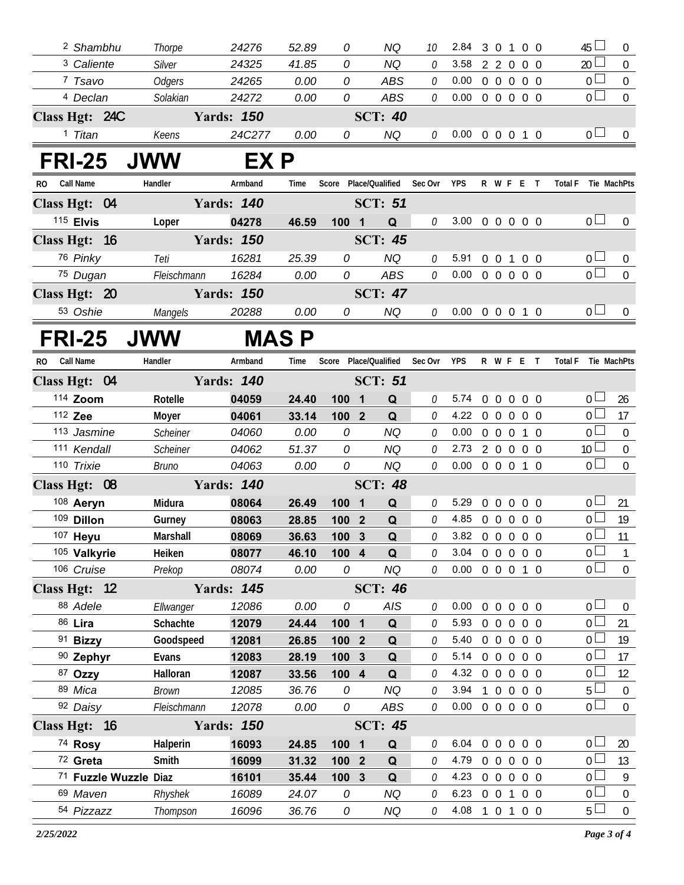| 20 <sup>2</sup><br><sup>3</sup> Caliente<br>24325<br>0<br><b>NQ</b><br>3.58<br>Silver<br>41.85<br>0<br>2 2 0 0 0<br>0 <sub>0</sub><br>7 Tsavo<br>24265<br>ABS<br>0.00<br>0 0 0 0 0<br><b>Odgers</b><br>0.00<br>0<br>0<br>$\overline{0}$<br>0<br><sup>4</sup> Declan<br>ABS<br>0<br>$0.00 \t0 \t0 \t0 \t0 \t0$<br>Solakian<br>24272<br>0.00<br><b>SCT: 40</b><br>Class Hgt: 24C<br><b>Yards: 150</b><br>0 <sub>1</sub><br>NQ<br><sup>1</sup> Titan<br>24C277<br>0.00<br>Keens<br>0<br>0<br>$0.00 \t0 \t0 \t0 \t1 \t0$<br><b>FRI-25</b><br><b>JWW</b><br>EX P<br>RO Call Name<br>Handler<br>Armband<br>Time<br>Score Place/Qualified<br>Sec Ovr<br><b>YPS</b><br>R W F E T<br>Total F Tie MachPts<br><b>Yards: 140</b><br><b>SCT: 51</b><br>Class Hgt: 04<br>115 Elvis<br>0 <sub>l</sub><br>3.00 0 0 0 0 0<br>04278<br>0<br>Loper<br>100 1<br>Q<br>46.59<br><b>Yards: 150</b><br>Class Hgt: 16<br><b>SCT: 45</b><br>76 Pinky<br>0 <sub>0</sub><br>25.39<br>0<br><b>NQ</b><br>5.91<br>16281<br>Teti<br>0<br>$0 \t0 \t1$<br>$0\quad 0$<br>$\overline{0}$<br>75 Dugan<br>16284<br>0.00<br>0<br>ABS<br>0.00<br>0<br>0 0 0 0 0<br>Fleischmann | $\mathbf{0}$<br>$\overline{0}$<br>$\overline{0}$<br>$\mathbf 0$<br>$\mathbf 0$<br>$\mathbf 0$<br>$\overline{0}$<br>$\overline{0}$ |
|----------------------------------------------------------------------------------------------------------------------------------------------------------------------------------------------------------------------------------------------------------------------------------------------------------------------------------------------------------------------------------------------------------------------------------------------------------------------------------------------------------------------------------------------------------------------------------------------------------------------------------------------------------------------------------------------------------------------------------------------------------------------------------------------------------------------------------------------------------------------------------------------------------------------------------------------------------------------------------------------------------------------------------------------------------------------------------------------------------------------------------------|-----------------------------------------------------------------------------------------------------------------------------------|
|                                                                                                                                                                                                                                                                                                                                                                                                                                                                                                                                                                                                                                                                                                                                                                                                                                                                                                                                                                                                                                                                                                                                        |                                                                                                                                   |
|                                                                                                                                                                                                                                                                                                                                                                                                                                                                                                                                                                                                                                                                                                                                                                                                                                                                                                                                                                                                                                                                                                                                        |                                                                                                                                   |
|                                                                                                                                                                                                                                                                                                                                                                                                                                                                                                                                                                                                                                                                                                                                                                                                                                                                                                                                                                                                                                                                                                                                        |                                                                                                                                   |
|                                                                                                                                                                                                                                                                                                                                                                                                                                                                                                                                                                                                                                                                                                                                                                                                                                                                                                                                                                                                                                                                                                                                        |                                                                                                                                   |
|                                                                                                                                                                                                                                                                                                                                                                                                                                                                                                                                                                                                                                                                                                                                                                                                                                                                                                                                                                                                                                                                                                                                        |                                                                                                                                   |
|                                                                                                                                                                                                                                                                                                                                                                                                                                                                                                                                                                                                                                                                                                                                                                                                                                                                                                                                                                                                                                                                                                                                        |                                                                                                                                   |
|                                                                                                                                                                                                                                                                                                                                                                                                                                                                                                                                                                                                                                                                                                                                                                                                                                                                                                                                                                                                                                                                                                                                        |                                                                                                                                   |
|                                                                                                                                                                                                                                                                                                                                                                                                                                                                                                                                                                                                                                                                                                                                                                                                                                                                                                                                                                                                                                                                                                                                        |                                                                                                                                   |
|                                                                                                                                                                                                                                                                                                                                                                                                                                                                                                                                                                                                                                                                                                                                                                                                                                                                                                                                                                                                                                                                                                                                        |                                                                                                                                   |
|                                                                                                                                                                                                                                                                                                                                                                                                                                                                                                                                                                                                                                                                                                                                                                                                                                                                                                                                                                                                                                                                                                                                        |                                                                                                                                   |
|                                                                                                                                                                                                                                                                                                                                                                                                                                                                                                                                                                                                                                                                                                                                                                                                                                                                                                                                                                                                                                                                                                                                        |                                                                                                                                   |
|                                                                                                                                                                                                                                                                                                                                                                                                                                                                                                                                                                                                                                                                                                                                                                                                                                                                                                                                                                                                                                                                                                                                        |                                                                                                                                   |
| Class Hgt: 20<br><b>Yards: 150</b><br><b>SCT: 47</b>                                                                                                                                                                                                                                                                                                                                                                                                                                                                                                                                                                                                                                                                                                                                                                                                                                                                                                                                                                                                                                                                                   |                                                                                                                                   |
| 0 <sub>l</sub><br>53 Oshie<br>20288<br>0.00<br>0<br>NQ<br>0.00 0 0 0 1 0<br>Mangels<br>0                                                                                                                                                                                                                                                                                                                                                                                                                                                                                                                                                                                                                                                                                                                                                                                                                                                                                                                                                                                                                                               |                                                                                                                                   |
| <b>FRI-25</b><br><b>JWW</b><br><b>MAS P</b>                                                                                                                                                                                                                                                                                                                                                                                                                                                                                                                                                                                                                                                                                                                                                                                                                                                                                                                                                                                                                                                                                            |                                                                                                                                   |
| Call Name<br>Handler<br>Place/Qualified<br>Sec Ovr<br><b>YPS</b><br>R W F E T<br><b>Total F</b><br>Armband<br>Time<br>Score<br>Tie MachPts<br>RO.                                                                                                                                                                                                                                                                                                                                                                                                                                                                                                                                                                                                                                                                                                                                                                                                                                                                                                                                                                                      |                                                                                                                                   |
| <b>Yards: 140</b><br>Class Hgt: 04<br><b>SCT: 51</b>                                                                                                                                                                                                                                                                                                                                                                                                                                                                                                                                                                                                                                                                                                                                                                                                                                                                                                                                                                                                                                                                                   |                                                                                                                                   |
| 114 Zoom<br>0 <sub>1</sub><br>5.74<br>0 0 0 0 0<br>Rotelle<br>0<br>04059<br>24.40<br>100 1<br>Q                                                                                                                                                                                                                                                                                                                                                                                                                                                                                                                                                                                                                                                                                                                                                                                                                                                                                                                                                                                                                                        | 26                                                                                                                                |
| 0 <sub>0</sub><br>112 Zee<br>04061<br>0<br>4.22<br>00000<br>Moyer<br>33.14<br>100 2<br>Q                                                                                                                                                                                                                                                                                                                                                                                                                                                                                                                                                                                                                                                                                                                                                                                                                                                                                                                                                                                                                                               | 17                                                                                                                                |
| 0 <sub>0</sub><br>113 Jasmine<br>Scheiner<br>0<br><b>NQ</b><br>0<br>0.00<br>0 0 0 1 0<br>04060<br>0.00                                                                                                                                                                                                                                                                                                                                                                                                                                                                                                                                                                                                                                                                                                                                                                                                                                                                                                                                                                                                                                 | $\overline{0}$                                                                                                                    |
| 10 <sup>1</sup><br>111 Kendall<br>Scheiner<br>04062<br>51.37<br>0<br><b>NQ</b><br>2.73<br>2 0 0 0 0<br>0                                                                                                                                                                                                                                                                                                                                                                                                                                                                                                                                                                                                                                                                                                                                                                                                                                                                                                                                                                                                                               | $\overline{0}$                                                                                                                    |
| $\overline{0}$<br>110 Trixie<br>0<br>04063<br><b>NQ</b><br>0<br>0.00<br>0 0 0 1 0<br>0.00<br>Bruno                                                                                                                                                                                                                                                                                                                                                                                                                                                                                                                                                                                                                                                                                                                                                                                                                                                                                                                                                                                                                                     | $\overline{0}$                                                                                                                    |
| Class Hgt: 08<br><b>SCT: 48</b><br><b>Yards: 140</b>                                                                                                                                                                                                                                                                                                                                                                                                                                                                                                                                                                                                                                                                                                                                                                                                                                                                                                                                                                                                                                                                                   |                                                                                                                                   |
| 108 Aeryn<br>5.29<br>0 <sub>1</sub><br>0 0 0 0 0<br>Midura<br>08064<br>26.49<br>Q<br>0<br>100 <sub>1</sub>                                                                                                                                                                                                                                                                                                                                                                                                                                                                                                                                                                                                                                                                                                                                                                                                                                                                                                                                                                                                                             | 21                                                                                                                                |
| $_0$ $\Box$<br>0<br>109 Dillon<br>4.85<br>0 0 0 0 0<br>Q<br>08063<br>28.85<br>100 2<br>Gurney                                                                                                                                                                                                                                                                                                                                                                                                                                                                                                                                                                                                                                                                                                                                                                                                                                                                                                                                                                                                                                          | 19                                                                                                                                |
| 0 <sub>0</sub><br>107 Heyu<br>3.82 0 0 0 0 0<br>Marshall<br>08069<br>36.63<br>1003<br>$\Omega$<br>0                                                                                                                                                                                                                                                                                                                                                                                                                                                                                                                                                                                                                                                                                                                                                                                                                                                                                                                                                                                                                                    | 11                                                                                                                                |
| $\overline{0}$<br>105 Valkyrie<br>3.04<br>0 0 0 0 0<br>Heiken<br>08077<br>46.10<br>100 4<br>Q<br>0                                                                                                                                                                                                                                                                                                                                                                                                                                                                                                                                                                                                                                                                                                                                                                                                                                                                                                                                                                                                                                     | 1                                                                                                                                 |
| 106 Cruise<br>0 <sub>0</sub><br>0.00<br>08074<br>0.00<br>0<br>NQ<br>0 0 0 1 0<br>Prekop<br>0                                                                                                                                                                                                                                                                                                                                                                                                                                                                                                                                                                                                                                                                                                                                                                                                                                                                                                                                                                                                                                           | $\overline{0}$                                                                                                                    |
| Class Hgt: 12<br><b>Yards: 145</b><br><b>SCT: 46</b>                                                                                                                                                                                                                                                                                                                                                                                                                                                                                                                                                                                                                                                                                                                                                                                                                                                                                                                                                                                                                                                                                   |                                                                                                                                   |
| 88 Adele<br>AIS<br>0 0 0 0 0<br>0 <sub>0</sub><br>12086<br>0.00<br>0<br>0.00<br>Ellwanger<br>0                                                                                                                                                                                                                                                                                                                                                                                                                                                                                                                                                                                                                                                                                                                                                                                                                                                                                                                                                                                                                                         | $\overline{0}$                                                                                                                    |
| 86 Lira<br>Schachte<br>12079<br>5.93<br>24.44<br>100 1<br>Q<br>00000<br>0 <sup>1</sup><br>0                                                                                                                                                                                                                                                                                                                                                                                                                                                                                                                                                                                                                                                                                                                                                                                                                                                                                                                                                                                                                                            | 21                                                                                                                                |
| 91 Bizzy<br>Q<br>5.40<br>0 0 0 0 0<br>0 L<br>Goodspeed<br>12081<br>26.85<br>100 2<br>0                                                                                                                                                                                                                                                                                                                                                                                                                                                                                                                                                                                                                                                                                                                                                                                                                                                                                                                                                                                                                                                 | 19                                                                                                                                |
| 90 Zephyr<br>12083<br>28.19<br>100 3<br>Q<br>5.14<br>00000<br>0 <sub>0</sub><br>Evans<br>0                                                                                                                                                                                                                                                                                                                                                                                                                                                                                                                                                                                                                                                                                                                                                                                                                                                                                                                                                                                                                                             | 17                                                                                                                                |
| 87 Ozzy<br>Q<br>4.32<br>0 0 0 0 0<br>0 L<br>Halloran<br>12087<br>33.56<br>100 4<br>0                                                                                                                                                                                                                                                                                                                                                                                                                                                                                                                                                                                                                                                                                                                                                                                                                                                                                                                                                                                                                                                   | 12                                                                                                                                |
| 89 Mica<br>5 <sup>1</sup><br>Brown<br>12085<br>36.76<br>NQ<br>3.94<br>1 0 0 0 0<br>0<br>0<br>0 <sub>0</sub><br>92 Daisy<br>0<br>ABS<br>0<br>$0.00 \t0 \t0 \t0 \t0 \t0$<br>Fleischmann<br>12078<br>0.00                                                                                                                                                                                                                                                                                                                                                                                                                                                                                                                                                                                                                                                                                                                                                                                                                                                                                                                                 | $\mathbf 0$<br>$\mathbf{0}$                                                                                                       |
| Class Hgt: 16<br><b>SCT: 45</b><br><b>Yards: 150</b>                                                                                                                                                                                                                                                                                                                                                                                                                                                                                                                                                                                                                                                                                                                                                                                                                                                                                                                                                                                                                                                                                   |                                                                                                                                   |
| 74 Rosy<br>0 0 0 0 0<br>0 <sub>1</sub><br>16093<br>6.04<br>Halperin<br>24.85<br>100 1<br>Q<br>0                                                                                                                                                                                                                                                                                                                                                                                                                                                                                                                                                                                                                                                                                                                                                                                                                                                                                                                                                                                                                                        | 20                                                                                                                                |
| 72 Greta<br>0 <sup>1</sup><br>Smith<br>16099<br>4.79<br>0 0 0 0 0<br>31.32<br>Q<br>0<br>100 2                                                                                                                                                                                                                                                                                                                                                                                                                                                                                                                                                                                                                                                                                                                                                                                                                                                                                                                                                                                                                                          | 13                                                                                                                                |
| 0 <sub>0</sub><br>71 Fuzzle Wuzzle Diaz<br>4.23<br>0 0 0 0 0<br>16101<br>35.44<br>100 3<br>Q<br>0                                                                                                                                                                                                                                                                                                                                                                                                                                                                                                                                                                                                                                                                                                                                                                                                                                                                                                                                                                                                                                      | 9                                                                                                                                 |
| 0 <sub>0</sub><br>69 Maven<br>6.23<br>0 0 1 0 0<br>Rhyshek<br>16089<br>24.07<br><b>NQ</b><br>0<br>0                                                                                                                                                                                                                                                                                                                                                                                                                                                                                                                                                                                                                                                                                                                                                                                                                                                                                                                                                                                                                                    | $\overline{0}$                                                                                                                    |
| $5 \Box$<br>54 Pizzazz<br>16096<br>36.76<br>NQ<br>4.08 1 0 1 0 0<br>Thompson<br>0<br>0                                                                                                                                                                                                                                                                                                                                                                                                                                                                                                                                                                                                                                                                                                                                                                                                                                                                                                                                                                                                                                                 | $\mathbf 0$                                                                                                                       |